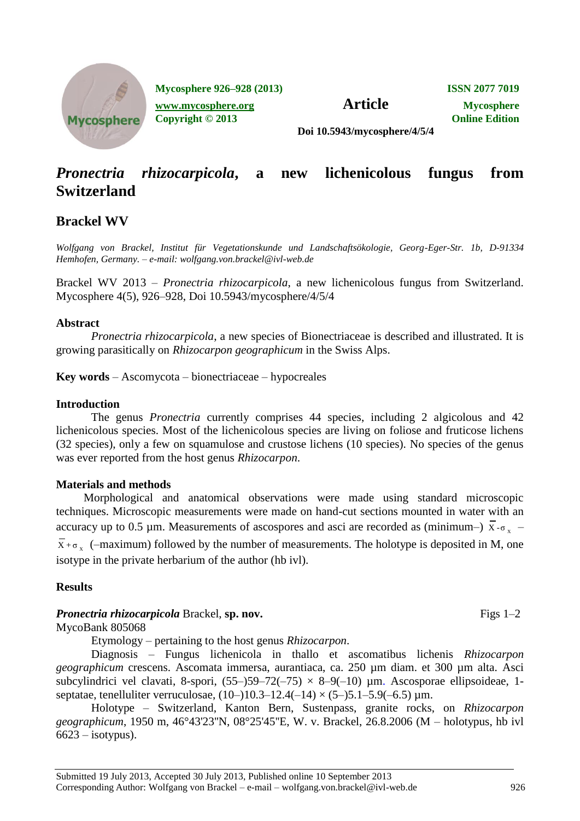

**Mycosphere 926–928 (2013) ISSN 2077 7019**

**[www.mycosphere.org](http://www.mycosphere.org/) Article Mycosphere Copyright © 2013 Online Edition**

**Doi 10.5943/mycosphere/4/5/4**

# *Pronectria rhizocarpicola***, a new lichenicolous fungus from Switzerland**

## **Brackel WV**

*Wolfgang von Brackel, Institut für Vegetationskunde und Landschaftsökologie, Georg-Eger-Str. 1b, D-91334 Hemhofen, Germany. – e-mail: [wolfgang.von.brackel@ivl-web.de](mailto:wolfgang.von.brackel@ivl-web.de)*

Brackel WV 2013 – *Pronectria rhizocarpicola*, a new lichenicolous fungus from Switzerland. Mycosphere 4(5), 926–928, Doi 10.5943/mycosphere/4/5/4

#### **Abstract**

*Pronectria rhizocarpicola*, a new species of Bionectriaceae is described and illustrated. It is growing parasitically on *Rhizocarpon geographicum* in the Swiss Alps.

**Key words** – Ascomycota – bionectriaceae – hypocreales

#### **Introduction**

The genus *Pronectria* currently comprises 44 species, including 2 algicolous and 42 lichenicolous species. Most of the lichenicolous species are living on foliose and fruticose lichens (32 species), only a few on squamulose and crustose lichens (10 species). No species of the genus was ever reported from the host genus *Rhizocarpon*.

#### **Materials and methods**

Morphological and anatomical observations were made using standard microscopic techniques. Microscopic measurements were made on hand-cut sections mounted in water with an accuracy up to 0.5 µm. Measurements of ascospores and asci are recorded as (minimum–)  $\overline{X}$ - $\sigma_x$  –  $\overline{X}$ + $\sigma_x$  (-maximum) followed by the number of measurements. The holotype is deposited in M, one isotype in the private herbarium of the author (hb ivl).

#### **Results**

#### *Pronectria rhizocarpicola* Brackel, sp. nov. Figs 1–2

MycoBank 805068

Etymology – pertaining to the host genus *Rhizocarpon*.

Diagnosis – Fungus lichenicola in thallo et ascomatibus lichenis *Rhizocarpon geographicum* crescens. Ascomata immersa, aurantiaca, ca. 250 µm diam. et 300 µm alta. Asci subcylindrici vel clavati, 8-spori,  $(55-)59-72(-75) \times 8-9(-10)$  µm. Ascosporae ellipsoideae, 1septatae, tenelluliter verruculosae,  $(10-)10.3-12.4(-14) \times (5-)5.1-5.9(-6.5) \text{ µm}$ .

Holotype – Switzerland, Kanton Bern, Sustenpass, granite rocks, on *Rhizocarpon geographicum*, 1950 m, 46°43'23''N, 08°25'45''E, W. v. Brackel, 26.8.2006 (M – holotypus, hb ivl  $6623$  – isotypus).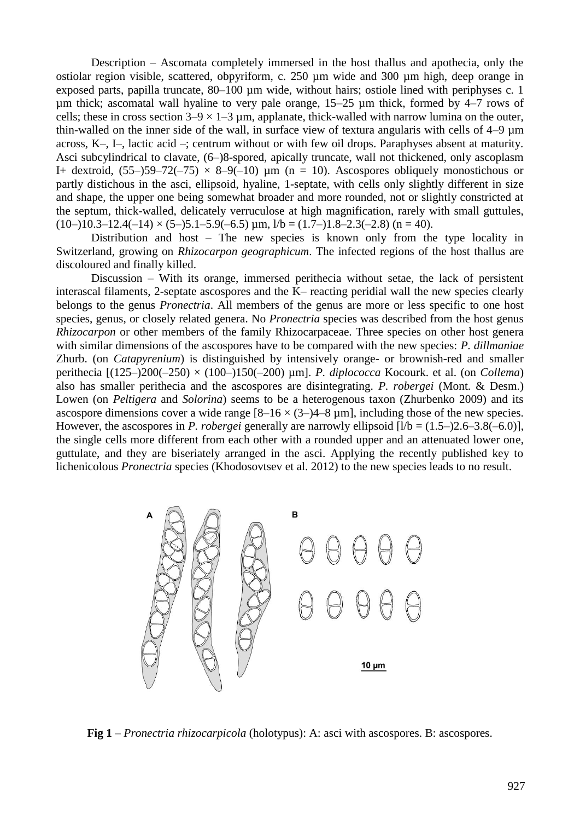Description – Ascomata completely immersed in the host thallus and apothecia, only the ostiolar region visible, scattered, obpyriform, c. 250 µm wide and 300 µm high, deep orange in exposed parts, papilla truncate, 80–100 µm wide, without hairs; ostiole lined with periphyses c. 1 um thick; ascomatal wall hyaline to very pale orange,  $15-25$  um thick, formed by  $4-7$  rows of cells; these in cross section  $3-9 \times 1-3$  µm, applanate, thick-walled with narrow lumina on the outer, thin-walled on the inner side of the wall, in surface view of textura angularis with cells of 4–9 µm across, K–, I–, lactic acid –; centrum without or with few oil drops. Paraphyses absent at maturity. Asci subcylindrical to clavate, (6–)8-spored, apically truncate, wall not thickened, only ascoplasm I+ dextroid,  $(55-59-72(-75) \times 8-9(-10)$  µm (n = 10). Ascospores obliquely monostichous or partly distichous in the asci, ellipsoid, hyaline, 1-septate, with cells only slightly different in size and shape, the upper one being somewhat broader and more rounded, not or slightly constricted at the septum, thick-walled, delicately verruculose at high magnification, rarely with small guttules,  $(10-)10.3-12.4(-14) \times (5-)5.1-5.9(-6.5) \mu m$ ,  $1/b = (1.7-)1.8-2.3(-2.8)$   $(n = 40)$ .

Distribution and host – The new species is known only from the type locality in Switzerland, growing on *Rhizocarpon geographicum*. The infected regions of the host thallus are discoloured and finally killed.

Discussion – With its orange, immersed perithecia without setae, the lack of persistent interascal filaments, 2-septate ascospores and the K– reacting peridial wall the new species clearly belongs to the genus *Pronectria*. All members of the genus are more or less specific to one host species, genus, or closely related genera. No *Pronectria* species was described from the host genus *Rhizocarpon* or other members of the family Rhizocarpaceae. Three species on other host genera with similar dimensions of the ascospores have to be compared with the new species: *P. dillmaniae* Zhurb. (on *Catapyrenium*) is distinguished by intensively orange- or brownish-red and smaller perithecia [(125–)200(–250) × (100–)150(–200) µm]. *P. diplococca* Kocourk. et al. (on *Collema*) also has smaller perithecia and the ascospores are disintegrating. *P. robergei* (Mont. & Desm.) Lowen (on *Peltigera* and *Solorina*) seems to be a heterogenous taxon (Zhurbenko 2009) and its ascospore dimensions cover a wide range  $[8-16 \times (3-)4-8 \text{ µm}]$ , including those of the new species. However, the ascospores in *P. robergei* generally are narrowly ellipsoid  $[1/b = (1.5-2.6-3.8(-6.0))$ , the single cells more different from each other with a rounded upper and an attenuated lower one, guttulate, and they are biseriately arranged in the asci. Applying the recently published key to lichenicolous *Pronectria* species (Khodosovtsev et al. 2012) to the new species leads to no result.



**Fig 1** – *Pronectria rhizocarpicola* (holotypus): A: asci with ascospores. B: ascospores.